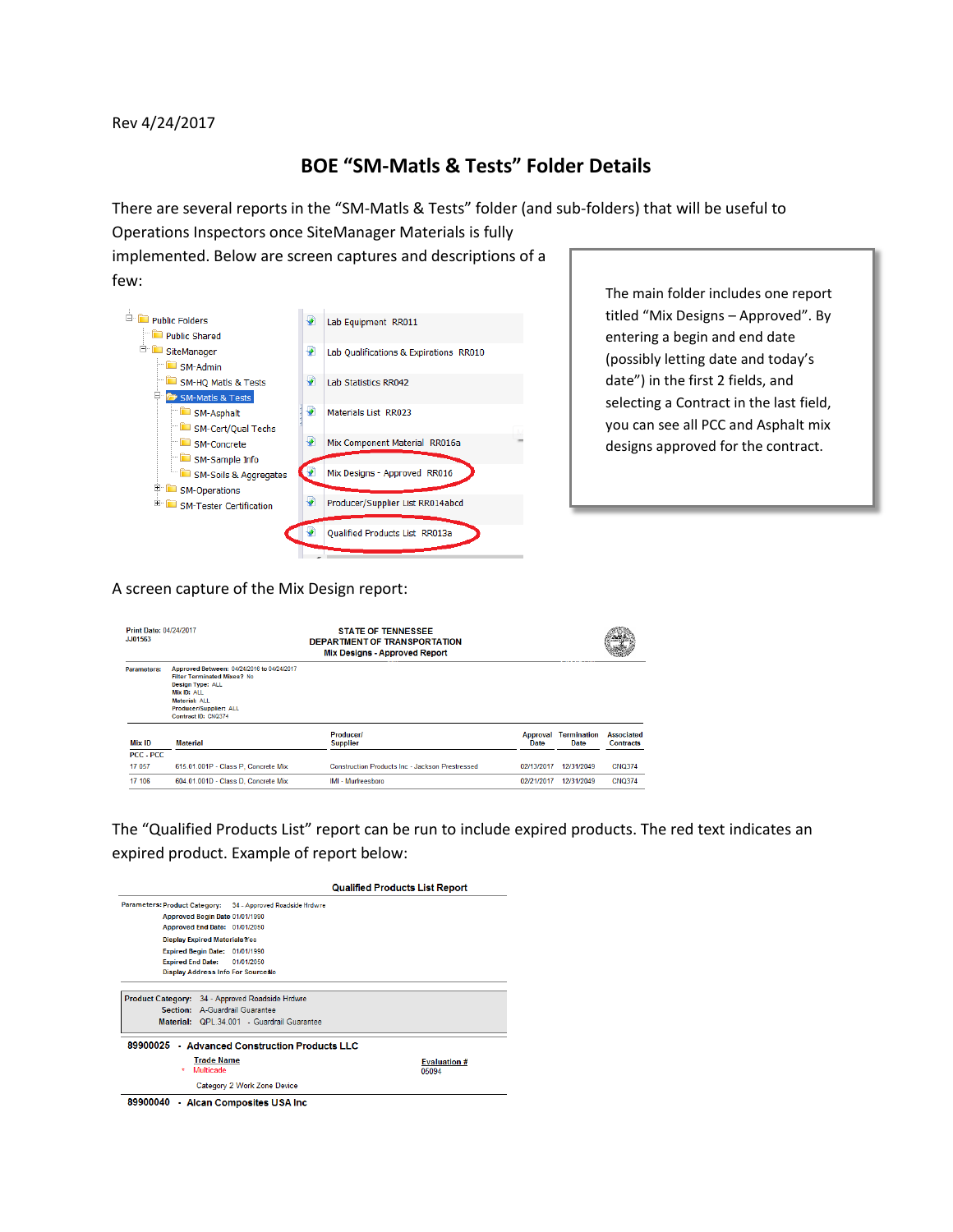Rev 4/24/2017

## **BOE "SM-Matls & Tests" Folder Details**

There are several reports in the "SM-Matls & Tests" folder (and sub-folders) that will be useful to

Operations Inspectors once SiteManager Materials is fully implemented. Below are screen captures and descriptions of a few:



The main folder includes one report titled "Mix Designs – Approved". By entering a begin and end date (possibly letting date and today's date") in the first 2 fields, and selecting a Contract in the last field, you can see all PCC and Asphalt mix designs approved for the contract.

## A screen capture of the Mix Design report:

| Print Date: 04/24/2017<br>JJ01563 |                                                                                                                                                                                                     | <b>STATE OF TENNESSEE</b><br>DEPARTMENT OF TRANSPORTATION<br><b>Mix Designs - Approved Report</b> |            |                                     |                                       |
|-----------------------------------|-----------------------------------------------------------------------------------------------------------------------------------------------------------------------------------------------------|---------------------------------------------------------------------------------------------------|------------|-------------------------------------|---------------------------------------|
| Parameters:                       | Approved Between: 04/24/2016 to 04/24/2017<br><b>Filter Terminated Mixes? No</b><br><b>Design Type: ALL</b><br>Mix ID: ALL<br><b>Material: ALL</b><br>Producer/Supplier: ALL<br>Contract ID: CNQ374 |                                                                                                   |            |                                     |                                       |
| Mix ID                            | <b>Material</b>                                                                                                                                                                                     | <b>Producer/</b><br><b>Supplier</b>                                                               | Date       | <b>Approval Termination</b><br>Date | <b>Associated</b><br><b>Contracts</b> |
| PCC - PCC                         |                                                                                                                                                                                                     |                                                                                                   |            |                                     |                                       |
| 17 057                            | 615.01.001P - Class P. Concrete Mix                                                                                                                                                                 | <b>Construction Products Inc - Jackson Prestressed</b>                                            | 02/13/2017 | 12/31/2049                          | <b>CNQ374</b>                         |
| 17 106                            | 604.01.001D - Class D. Concrete Mix                                                                                                                                                                 | IMI - Murfreesboro                                                                                | 02/21/2017 | 12/31/2049                          | <b>CNQ374</b>                         |

The "Qualified Products List" report can be run to include expired products. The red text indicates an expired product. Example of report below: